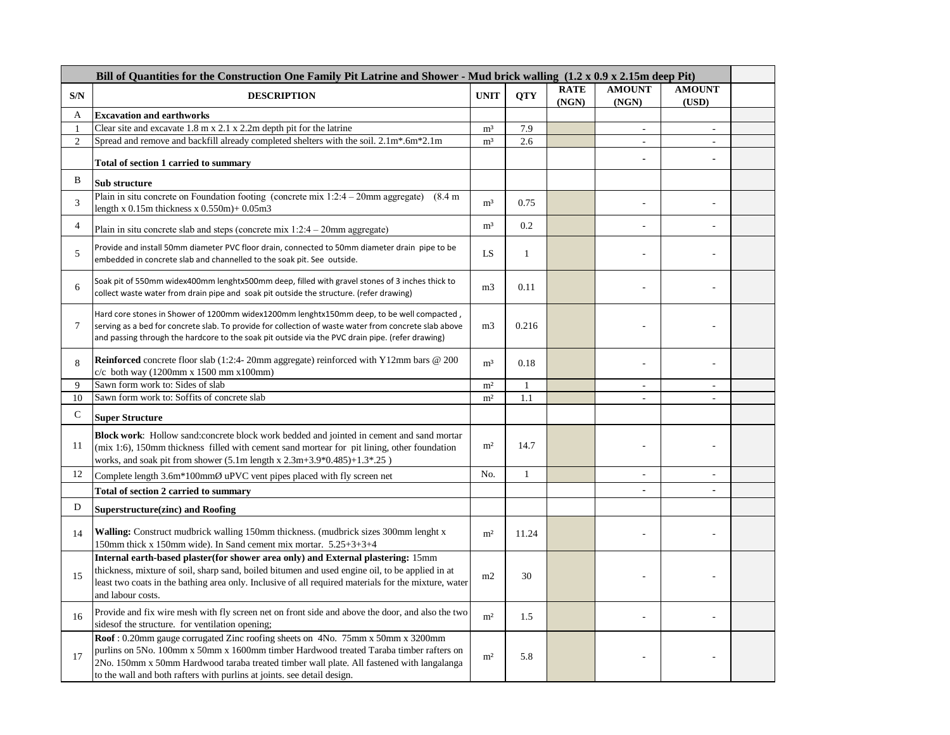| Bill of Quantities for the Construction One Family Pit Latrine and Shower - Mud brick walling (1.2 x 0.9 x 2.15m deep Pit) |                                                                                                                                                                                                                                                                                                                                                  |                |              |             |                |                |  |
|----------------------------------------------------------------------------------------------------------------------------|--------------------------------------------------------------------------------------------------------------------------------------------------------------------------------------------------------------------------------------------------------------------------------------------------------------------------------------------------|----------------|--------------|-------------|----------------|----------------|--|
| S/N                                                                                                                        | <b>DESCRIPTION</b>                                                                                                                                                                                                                                                                                                                               | <b>UNIT</b>    | <b>QTY</b>   | <b>RATE</b> | <b>AMOUNT</b>  | <b>AMOUNT</b>  |  |
|                                                                                                                            |                                                                                                                                                                                                                                                                                                                                                  |                |              | (NGN)       | (NGN)          | (USD)          |  |
| А<br>1                                                                                                                     | <b>Excavation and earthworks</b><br>Clear site and excavate $1.8 \text{ m} \times 2.1 \times 2.2 \text{ m}$ depth pit for the latrine                                                                                                                                                                                                            | m <sup>3</sup> | 7.9          |             | ÷.             |                |  |
| $\overline{2}$                                                                                                             | Spread and remove and backfill already completed shelters with the soil. 2.1m*.6m*2.1m                                                                                                                                                                                                                                                           | m <sup>3</sup> | 2.6          |             | $\overline{a}$ | ÷.             |  |
|                                                                                                                            | Total of section 1 carried to summary                                                                                                                                                                                                                                                                                                            |                |              |             |                |                |  |
| B                                                                                                                          | Sub structure                                                                                                                                                                                                                                                                                                                                    |                |              |             |                |                |  |
| 3                                                                                                                          | Plain in situ concrete on Foundation footing (concrete mix $1:2:4-20$ mm aggregate) (8.4 m)<br>length x $0.15$ m thickness x $0.550m$ ) + $0.05m3$                                                                                                                                                                                               | m <sup>3</sup> | 0.75         |             | ÷.             |                |  |
| $\overline{4}$                                                                                                             | Plain in situ concrete slab and steps (concrete mix $1:2:4-20$ mm aggregate)                                                                                                                                                                                                                                                                     | m <sup>3</sup> | 0.2          |             |                |                |  |
| 5                                                                                                                          | Provide and install 50mm diameter PVC floor drain, connected to 50mm diameter drain pipe to be<br>embedded in concrete slab and channelled to the soak pit. See outside.                                                                                                                                                                         | LS             | $\mathbf{1}$ |             |                |                |  |
| 6                                                                                                                          | Soak pit of 550mm widex400mm lenghtx500mm deep, filled with gravel stones of 3 inches thick to<br>collect waste water from drain pipe and soak pit outside the structure. (refer drawing)                                                                                                                                                        | m <sub>3</sub> | 0.11         |             |                |                |  |
| 7                                                                                                                          | Hard core stones in Shower of 1200mm widex1200mm lenghtx150mm deep, to be well compacted,<br>serving as a bed for concrete slab. To provide for collection of waste water from concrete slab above<br>and passing through the hardcore to the soak pit outside via the PVC drain pipe. (refer drawing)                                           | m <sub>3</sub> | 0.216        |             |                |                |  |
| 8                                                                                                                          | Reinforced concrete floor slab (1:2:4-20mm aggregate) reinforced with Y12mm bars @ 200<br>$c/c$ both way (1200mm x 1500 mm x100mm)                                                                                                                                                                                                               | m <sup>3</sup> | 0.18         |             |                |                |  |
| 9                                                                                                                          | Sawn form work to: Sides of slab                                                                                                                                                                                                                                                                                                                 | m <sup>2</sup> | $\mathbf{1}$ |             | $\sim$         | ä,             |  |
| 10                                                                                                                         | Sawn form work to: Soffits of concrete slab                                                                                                                                                                                                                                                                                                      | m <sup>2</sup> | 1.1          |             |                |                |  |
| $\mathsf{C}$                                                                                                               | <b>Super Structure</b>                                                                                                                                                                                                                                                                                                                           |                |              |             |                |                |  |
| 11                                                                                                                         | <b>Block work:</b> Hollow sand: concrete block work bedded and jointed in cement and sand mortar<br>(mix 1:6), 150mm thickness filled with cement sand mortear for pit lining, other foundation<br>works, and soak pit from shower $(5.1m \text{ length x } 2.3m+3.9*0.485)+1.3*0.25)$                                                           | m <sup>2</sup> | 14.7         |             |                |                |  |
| 12                                                                                                                         | Complete length 3.6m*100mmØ uPVC vent pipes placed with fly screen net                                                                                                                                                                                                                                                                           | No.            | $\mathbf{1}$ |             | ٠              | ä,             |  |
|                                                                                                                            | <b>Total of section 2 carried to summary</b>                                                                                                                                                                                                                                                                                                     |                |              |             | $\blacksquare$ | $\overline{a}$ |  |
| D                                                                                                                          | Superstructure(zinc) and Roofing                                                                                                                                                                                                                                                                                                                 |                |              |             |                |                |  |
| 14                                                                                                                         | <b>Walling:</b> Construct mudbrick walling 150mm thickness. (mudbrick sizes 300mm lenght x<br>150mm thick x 150mm wide). In Sand cement mix mortar. 5.25+3+3+4                                                                                                                                                                                   | m <sup>2</sup> | 11.24        |             |                |                |  |
| 15                                                                                                                         | Internal earth-based plaster(for shower area only) and External plastering: 15mm<br>thickness, mixture of soil, sharp sand, boiled bitumen and used engine oil, to be applied in at<br>least two coats in the bathing area only. Inclusive of all required materials for the mixture, water<br>and labour costs.                                 | m2             | 30           |             |                |                |  |
| 16                                                                                                                         | Provide and fix wire mesh with fly screen net on front side and above the door, and also the two<br>sides of the structure. for ventilation opening;                                                                                                                                                                                             | m <sup>2</sup> | 1.5          |             |                |                |  |
| 17                                                                                                                         | Roof: 0.20mm gauge corrugated Zinc roofing sheets on 4No. 75mm x 50mm x 3200mm<br>purlins on 5No. 100mm x 50mm x 1600mm timber Hardwood treated Taraba timber rafters on<br>2No. 150mm x 50mm Hardwood taraba treated timber wall plate. All fastened with langalanga<br>to the wall and both rafters with purlins at joints, see detail design. | m <sup>2</sup> | 5.8          |             |                |                |  |